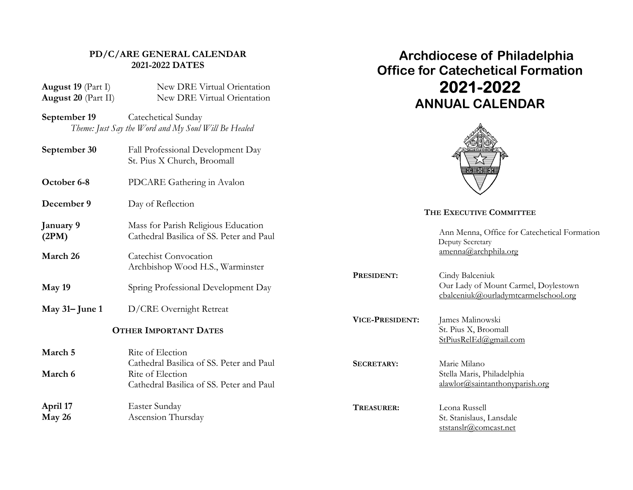# **PD/C/ARE GENERAL CALENDAR 2021-2022 DATES**

| August 19 (Part I)<br>August 20 (Part II) | New DRE Virtual Orientation<br>New DRE Virtual Orientation                                               |                         | 2021-2022<br><b>ANNUAL CALENDAR</b>                                                             |  |
|-------------------------------------------|----------------------------------------------------------------------------------------------------------|-------------------------|-------------------------------------------------------------------------------------------------|--|
| September 19                              | Catechetical Sunday<br>Theme: Just Say the Word and My Soul Will Be Healed                               |                         |                                                                                                 |  |
| September 30                              | Fall Professional Development Day<br>St. Pius X Church, Broomall                                         |                         |                                                                                                 |  |
| October 6-8                               | PDCARE Gathering in Avalon                                                                               |                         |                                                                                                 |  |
| December 9                                | Day of Reflection                                                                                        | THE EXECUTIVE COMMITTEE |                                                                                                 |  |
| January 9<br>(2PM)                        | Mass for Parish Religious Education<br>Cathedral Basilica of SS. Peter and Paul                          |                         | Ann Menna, Office for Catechetical Formation<br>Deputy Secretary                                |  |
| March 26                                  | <b>Catechist Convocation</b><br>Archbishop Wood H.S., Warminster                                         |                         | amenna@archphila.org                                                                            |  |
| May 19                                    | Spring Professional Development Day                                                                      | PRESIDENT:              | Cindy Balceniuk<br>Our Lady of Mount Carmel, Doylestown<br>cbalceniuk@ourladymtcarmelschool.org |  |
| May $31 -$ June 1                         | D/CRE Overnight Retreat                                                                                  |                         |                                                                                                 |  |
| <b>OTHER IMPORTANT DATES</b>              |                                                                                                          | VICE-PRESIDENT:         | James Malinowski<br>St. Pius X, Broomall<br>StPiusRelEd@gmail.com                               |  |
| March 5                                   | Rite of Election                                                                                         |                         |                                                                                                 |  |
| March 6                                   | Cathedral Basilica of SS. Peter and Paul<br>Rite of Election<br>Cathedral Basilica of SS. Peter and Paul | <b>SECRETARY:</b>       | Marie Milano<br>Stella Maris, Philadelphia<br>alawlor@saintanthonyparish.org                    |  |
| April 17<br>May 26                        | Easter Sunday<br>Ascension Thursday                                                                      | TREASURER:              | Leona Russell<br>St. Stanislaus, Lansdale<br>ststanslr@comcast.net                              |  |

 **Archdiocese of Philadelphia Office for Catechetical Formation**